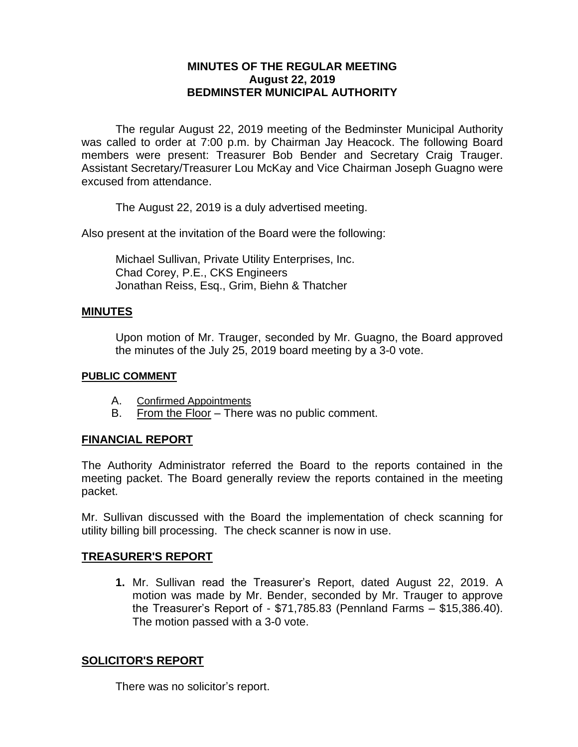## **MINUTES OF THE REGULAR MEETING August 22, 2019 BEDMINSTER MUNICIPAL AUTHORITY**

The regular August 22, 2019 meeting of the Bedminster Municipal Authority was called to order at 7:00 p.m. by Chairman Jay Heacock. The following Board members were present: Treasurer Bob Bender and Secretary Craig Trauger. Assistant Secretary/Treasurer Lou McKay and Vice Chairman Joseph Guagno were excused from attendance.

The August 22, 2019 is a duly advertised meeting.

Also present at the invitation of the Board were the following:

Michael Sullivan, Private Utility Enterprises, Inc. Chad Corey, P.E., CKS Engineers Jonathan Reiss, Esq., Grim, Biehn & Thatcher

#### **MINUTES**

Upon motion of Mr. Trauger, seconded by Mr. Guagno, the Board approved the minutes of the July 25, 2019 board meeting by a 3-0 vote.

#### **PUBLIC COMMENT**

- A. Confirmed Appointments
- B. From the Floor There was no public comment.

## **FINANCIAL REPORT**

The Authority Administrator referred the Board to the reports contained in the meeting packet. The Board generally review the reports contained in the meeting packet.

Mr. Sullivan discussed with the Board the implementation of check scanning for utility billing bill processing. The check scanner is now in use.

#### **TREASURER'S REPORT**

**1.** Mr. Sullivan read the Treasurer's Report, dated August 22, 2019. A motion was made by Mr. Bender, seconded by Mr. Trauger to approve the Treasurer's Report of - \$71,785.83 (Pennland Farms – \$15,386.40). The motion passed with a 3-0 vote.

## **SOLICITOR'S REPORT**

There was no solicitor's report.